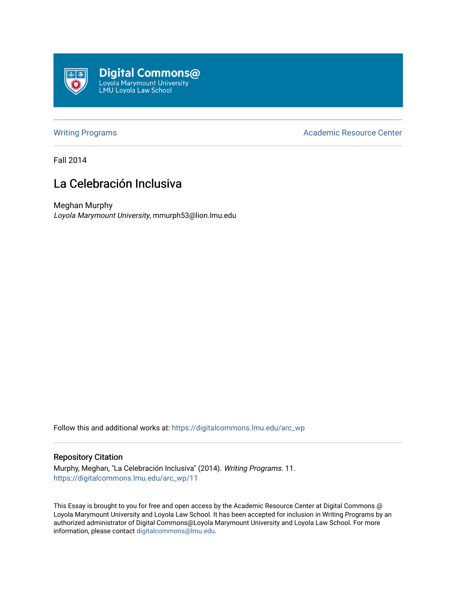

[Writing Programs](https://digitalcommons.lmu.edu/arc_wp) **Academic Resource Center** Academic Resource Center

Fall 2014

## La Celebración Inclusiva

Meghan Murphy Loyola Marymount University, mmurph53@lion.lmu.edu

Follow this and additional works at: [https://digitalcommons.lmu.edu/arc\\_wp](https://digitalcommons.lmu.edu/arc_wp?utm_source=digitalcommons.lmu.edu%2Farc_wp%2F11&utm_medium=PDF&utm_campaign=PDFCoverPages)

## Repository Citation

Murphy, Meghan, "La Celebración Inclusiva" (2014). Writing Programs. 11. [https://digitalcommons.lmu.edu/arc\\_wp/11](https://digitalcommons.lmu.edu/arc_wp/11?utm_source=digitalcommons.lmu.edu%2Farc_wp%2F11&utm_medium=PDF&utm_campaign=PDFCoverPages) 

This Essay is brought to you for free and open access by the Academic Resource Center at Digital Commons @ Loyola Marymount University and Loyola Law School. It has been accepted for inclusion in Writing Programs by an authorized administrator of Digital Commons@Loyola Marymount University and Loyola Law School. For more information, please contact [digitalcommons@lmu.edu.](mailto:digitalcommons@lmu.edu)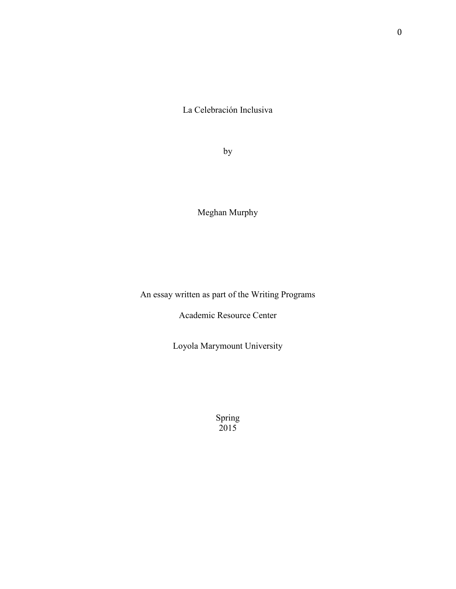La Celebración Inclusiva

by

Meghan Murphy

An essay written as part of the Writing Programs

Academic Resource Center

Loyola Marymount University

Spring 2015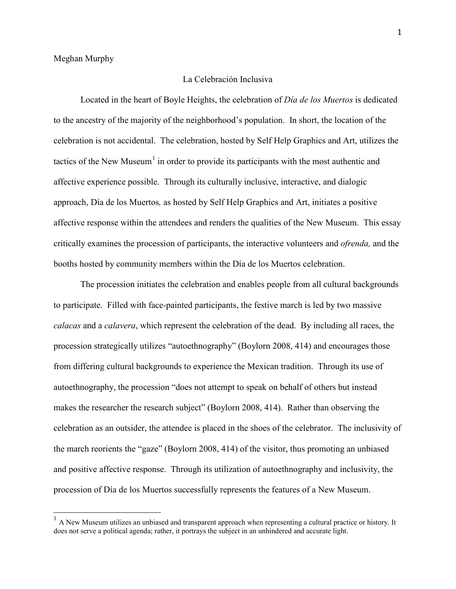## La Celebración Inclusiva

Located in the heart of Boyle Heights, the celebration of *Día de los Muertos* is dedicated to the ancestry of the majority of the neighborhood's population. In short, the location of the celebration is not accidental. The celebration, hosted by Self Help Graphics and Art, utilizes the tactics of the New Museum<sup>[1](#page-2-0)</sup> in order to provide its participants with the most authentic and affective experience possible. Through its culturally inclusive, interactive, and dialogic approach, Día de los Muertos*,* as hosted by Self Help Graphics and Art, initiates a positive affective response within the attendees and renders the qualities of the New Museum. This essay critically examines the procession of participants, the interactive volunteers and *ofrenda,* and the booths hosted by community members within the Día de los Muertos celebration.

The procession initiates the celebration and enables people from all cultural backgrounds to participate. Filled with face-painted participants, the festive march is led by two massive *calacas* and a *calavera*, which represent the celebration of the dead. By including all races, the procession strategically utilizes "autoethnography" (Boylorn 2008, 414) and encourages those from differing cultural backgrounds to experience the Mexican tradition. Through its use of autoethnography, the procession "does not attempt to speak on behalf of others but instead makes the researcher the research subject" (Boylorn 2008, 414). Rather than observing the celebration as an outsider, the attendee is placed in the shoes of the celebrator. The inclusivity of the march reorients the "gaze" (Boylorn 2008, 414) of the visitor, thus promoting an unbiased and positive affective response. Through its utilization of autoethnography and inclusivity, the procession of Día de los Muertos successfully represents the features of a New Museum.

<span id="page-2-0"></span> $1$  A New Museum utilizes an unbiased and transparent approach when representing a cultural practice or history. It does not serve a political agenda; rather, it portrays the subject in an unhindered and accurate light.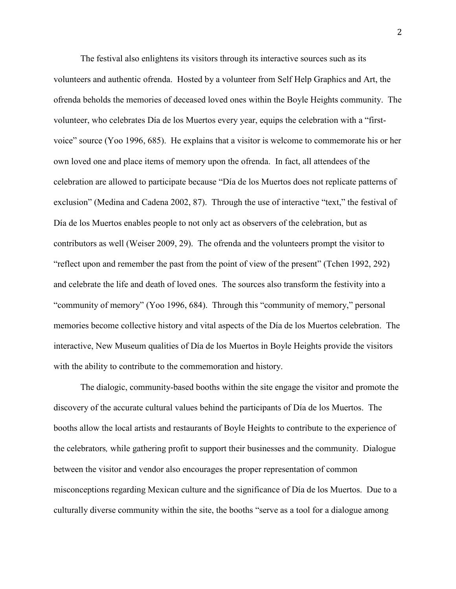The festival also enlightens its visitors through its interactive sources such as its volunteers and authentic ofrenda. Hosted by a volunteer from Self Help Graphics and Art, the ofrenda beholds the memories of deceased loved ones within the Boyle Heights community. The volunteer, who celebrates Día de los Muertos every year, equips the celebration with a "firstvoice" source (Yoo 1996, 685). He explains that a visitor is welcome to commemorate his or her own loved one and place items of memory upon the ofrenda. In fact, all attendees of the celebration are allowed to participate because "Día de los Muertos does not replicate patterns of exclusion" (Medina and Cadena 2002, 87). Through the use of interactive "text," the festival of Día de los Muertos enables people to not only act as observers of the celebration, but as contributors as well (Weiser 2009, 29). The ofrenda and the volunteers prompt the visitor to "reflect upon and remember the past from the point of view of the present" (Tchen 1992, 292) and celebrate the life and death of loved ones. The sources also transform the festivity into a "community of memory" (Yoo 1996, 684). Through this "community of memory," personal memories become collective history and vital aspects of the Día de los Muertos celebration. The interactive, New Museum qualities of Día de los Muertos in Boyle Heights provide the visitors with the ability to contribute to the commemoration and history.

The dialogic, community-based booths within the site engage the visitor and promote the discovery of the accurate cultural values behind the participants of Día de los Muertos. The booths allow the local artists and restaurants of Boyle Heights to contribute to the experience of the celebrators*,* while gathering profit to support their businesses and the community. Dialogue between the visitor and vendor also encourages the proper representation of common misconceptions regarding Mexican culture and the significance of Día de los Muertos. Due to a culturally diverse community within the site, the booths "serve as a tool for a dialogue among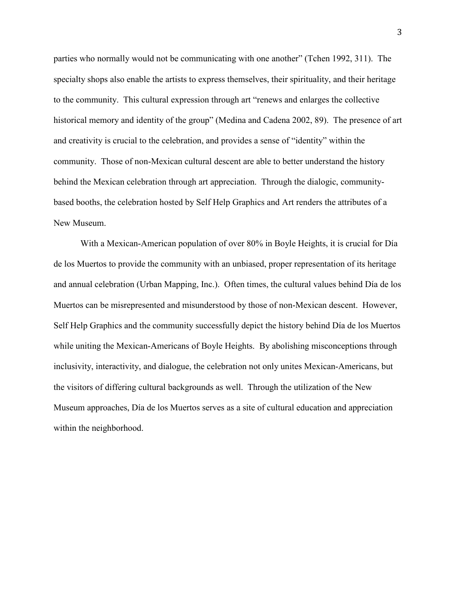parties who normally would not be communicating with one another" (Tchen 1992, 311). The specialty shops also enable the artists to express themselves, their spirituality, and their heritage to the community. This cultural expression through art "renews and enlarges the collective historical memory and identity of the group" (Medina and Cadena 2002, 89). The presence of art and creativity is crucial to the celebration, and provides a sense of "identity" within the community. Those of non-Mexican cultural descent are able to better understand the history behind the Mexican celebration through art appreciation. Through the dialogic, communitybased booths, the celebration hosted by Self Help Graphics and Art renders the attributes of a New Museum.

With a Mexican-American population of over 80% in Boyle Heights, it is crucial for Día de los Muertos to provide the community with an unbiased, proper representation of its heritage and annual celebration (Urban Mapping, Inc.). Often times, the cultural values behind Día de los Muertos can be misrepresented and misunderstood by those of non-Mexican descent. However, Self Help Graphics and the community successfully depict the history behind Día de los Muertos while uniting the Mexican-Americans of Boyle Heights. By abolishing misconceptions through inclusivity, interactivity, and dialogue, the celebration not only unites Mexican-Americans, but the visitors of differing cultural backgrounds as well. Through the utilization of the New Museum approaches, Día de los Muertos serves as a site of cultural education and appreciation within the neighborhood.